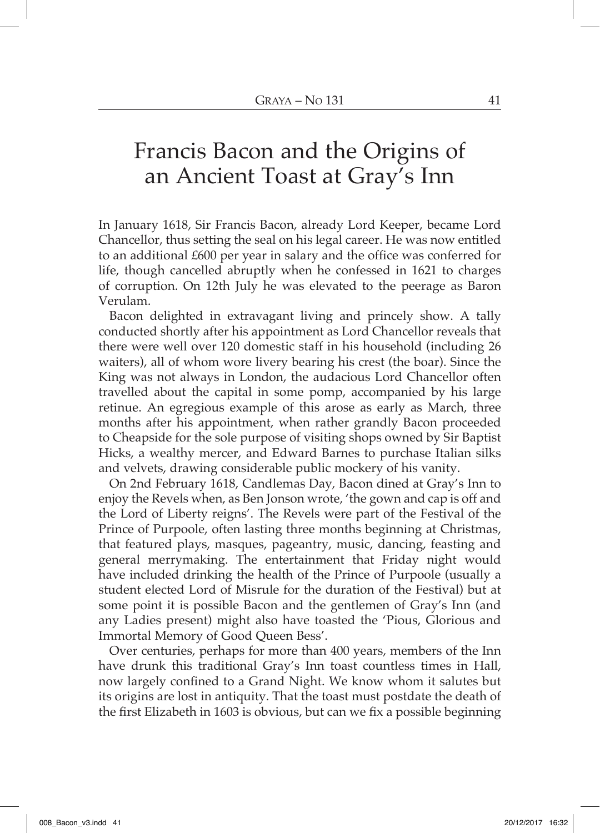## Francis Bacon and the Origins of an Ancient Toast at Gray's Inn

In January 1618, Sir Francis Bacon, already Lord Keeper, became Lord Chancellor, thus setting the seal on his legal career. He was now entitled to an additional £600 per year in salary and the office was conferred for life, though cancelled abruptly when he confessed in 1621 to charges of corruption. On 12th July he was elevated to the peerage as Baron Verulam.

Bacon delighted in extravagant living and princely show. A tally conducted shortly after his appointment as Lord Chancellor reveals that there were well over 120 domestic staff in his household (including 26 waiters), all of whom wore livery bearing his crest (the boar). Since the King was not always in London, the audacious Lord Chancellor often travelled about the capital in some pomp, accompanied by his large retinue. An egregious example of this arose as early as March, three months after his appointment, when rather grandly Bacon proceeded to Cheapside for the sole purpose of visiting shops owned by Sir Baptist Hicks, a wealthy mercer, and Edward Barnes to purchase Italian silks and velvets, drawing considerable public mockery of his vanity.

On 2nd February 1618, Candlemas Day, Bacon dined at Gray's Inn to enjoy the Revels when, as Ben Jonson wrote, 'the gown and cap is off and the Lord of Liberty reigns'. The Revels were part of the Festival of the Prince of Purpoole, often lasting three months beginning at Christmas, that featured plays, masques, pageantry, music, dancing, feasting and general merrymaking. The entertainment that Friday night would have included drinking the health of the Prince of Purpoole (usually a student elected Lord of Misrule for the duration of the Festival) but at some point it is possible Bacon and the gentlemen of Gray's Inn (and any Ladies present) might also have toasted the 'Pious, Glorious and Immortal Memory of Good Queen Bess'.

Over centuries, perhaps for more than 400 years, members of the Inn have drunk this traditional Gray's Inn toast countless times in Hall, now largely confined to a Grand Night. We know whom it salutes but its origins are lost in antiquity. That the toast must postdate the death of the first Elizabeth in 1603 is obvious, but can we fix a possible beginning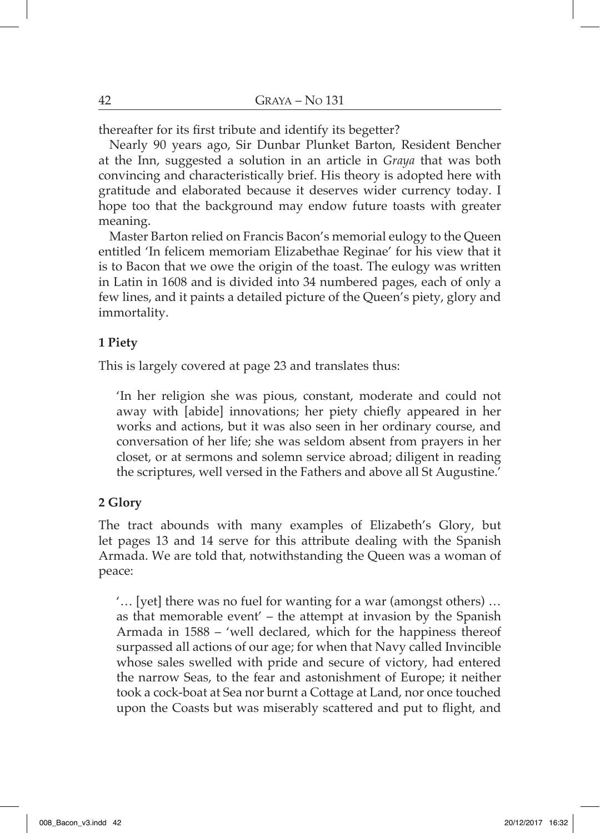thereafter for its first tribute and identify its begetter?

Nearly 90 years ago, Sir Dunbar Plunket Barton, Resident Bencher at the Inn, suggested a solution in an article in *Graya* that was both convincing and characteristically brief. His theory is adopted here with gratitude and elaborated because it deserves wider currency today. I hope too that the background may endow future toasts with greater meaning.

Master Barton relied on Francis Bacon's memorial eulogy to the Queen entitled 'In felicem memoriam Elizabethae Reginae' for his view that it is to Bacon that we owe the origin of the toast. The eulogy was written in Latin in 1608 and is divided into 34 numbered pages, each of only a few lines, and it paints a detailed picture of the Queen's piety, glory and immortality.

## **1 Piety**

This is largely covered at page 23 and translates thus:

'In her religion she was pious, constant, moderate and could not away with [abide] innovations; her piety chiefly appeared in her works and actions, but it was also seen in her ordinary course, and conversation of her life; she was seldom absent from prayers in her closet, or at sermons and solemn service abroad; diligent in reading the scriptures, well versed in the Fathers and above all St Augustine.'

## **2 Glory**

The tract abounds with many examples of Elizabeth's Glory, but let pages 13 and 14 serve for this attribute dealing with the Spanish Armada. We are told that, notwithstanding the Queen was a woman of peace:

'… [yet] there was no fuel for wanting for a war (amongst others) … as that memorable event' – the attempt at invasion by the Spanish Armada in 1588 – 'well declared, which for the happiness thereof surpassed all actions of our age; for when that Navy called Invincible whose sales swelled with pride and secure of victory, had entered the narrow Seas, to the fear and astonishment of Europe; it neither took a cock-boat at Sea nor burnt a Cottage at Land, nor once touched upon the Coasts but was miserably scattered and put to flight, and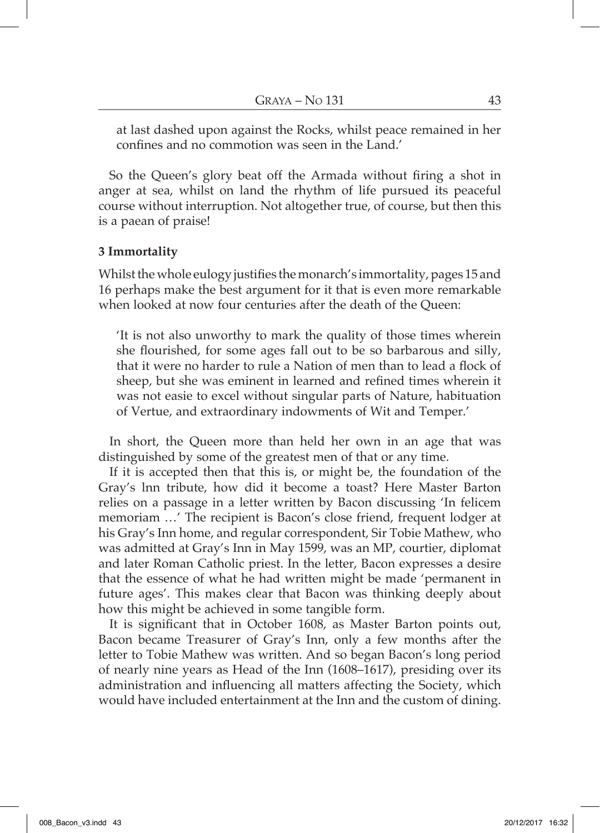at last dashed upon against the Rocks, whilst peace remained in her confines and no commotion was seen in the Land.'

So the Queen's glory beat off the Armada without firing a shot in anger at sea, whilst on land the rhythm of life pursued its peaceful course without interruption. Not altogether true, of course, but then this is a paean of praise!

## **3 Immortality**

Whilst the whole eulogy justifies the monarch's immortality, pages 15 and 16 perhaps make the best argument for it that is even more remarkable when looked at now four centuries after the death of the Queen:

'It is not also unworthy to mark the quality of those times wherein she flourished, for some ages fall out to be so barbarous and silly, that it were no harder to rule a Nation of men than to lead a flock of sheep, but she was eminent in learned and refined times wherein it was not easie to excel without singular parts of Nature, habituation of Vertue, and extraordinary indowments of Wit and Temper.'

In short, the Queen more than held her own in an age that was distinguished by some of the greatest men of that or any time.

If it is accepted then that this is, or might be, the foundation of the Gray's lnn tribute, how did it become a toast? Here Master Barton relies on a passage in a letter written by Bacon discussing 'In felicem memoriam …' The recipient is Bacon's close friend, frequent lodger at his Gray's Inn home, and regular correspondent, Sir Tobie Mathew, who was admitted at Gray's Inn in May 1599, was an MP, courtier, diplomat and later Roman Catholic priest. In the letter, Bacon expresses a desire that the essence of what he had written might be made 'permanent in future ages'. This makes clear that Bacon was thinking deeply about how this might be achieved in some tangible form.

It is significant that in October 1608, as Master Barton points out, Bacon became Treasurer of Gray's Inn, only a few months after the letter to Tobie Mathew was written. And so began Bacon's long period of nearly nine years as Head of the Inn (1608–1617), presiding over its administration and influencing all matters affecting the Society, which would have included entertainment at the Inn and the custom of dining.